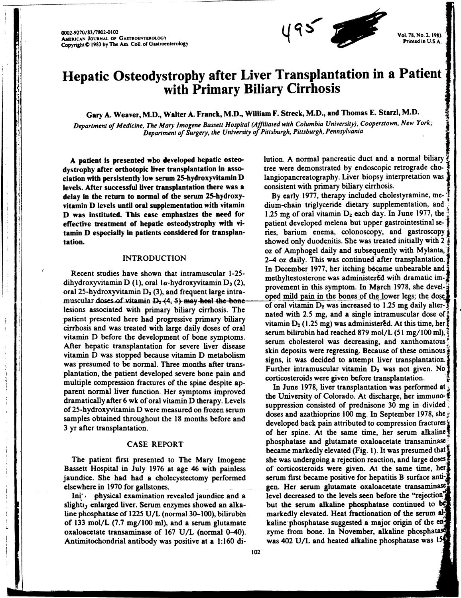

# **Hepatic Osteodystrophy after Liver Transplantation in a Patient with Primary Biliary Cirrhosis**

Gary A. Weaver, M.D., Walter A. Franck, M.D., William F. Streck, M.D., and Thomas E. Starzl, M.D.

*Department of Medicine, The Mary Imogene Bassett Hospital (Affiliated with Columbia University). Cooperstown, New York; Department of Surgery, the University of Pittsburgh, Pittsburgh, Pennsylvania* 

A patient is presented who developed hepatic osteodystrophy after orthotopic liver transplantation in association with persistently low serum 2S-hydroxyvitamin D levels. After successful liver transplantation there was a delay in the return to normal of the serum 2S-hydroxyvitamin D levels until oral supplementation with vitamin D was instituted. This case emphasizes the need for effective treatment of hepatic osteodystrophy with vitamin D especially in patients considered for transplantation.

## INTRODUCTION

i:

Recent studies have shown that intramuscular 1-25 dihydroxyvitamin D (1), oral la-hydroxyvitamin  $D_3$  (2), oral 25-hydroxyvitamin  $D_3$  (3), and frequent large intramuscular doses of vitamin  $D_2$  (4, 5) may heal the bonelesions associated with primary biliary cirrhosis. The patient presented here had progressive primary biliary cirrhosis and was treated with large daily doses of oral vitamin D before the development of bone symptoms. After hepatic transplantation for severe liver disease vitamin D was stopped because vitamin D metabolism was presumed to be normal. Three months after transplantation, the patient developed severe bone pain and multiple compression fractures of the spine despite apparent normal liver function. Her symptoms improved dramatically after 6 wk of oral vitamin D therapy. Levels of 25-hydroxyvitamin D were measured on frozen serum samples obtained throughout the 18 months before and 3 yr after transplantation.

## CASE REPORT

The patient first presented to The Mary Imogene Bassett Hospital in July 1976 at age 46 with painless jaundice. She had had a cholecystectomy performed elsewhere in 1970 for gallstones.

 $Inj'$  physical examination revealed jaundice and a slightl) enlarged liver. Serum enzymes showed an alkaline phosphatase of 1225 U/L (normal 30-100), bilirubin of 133 mol/L (7.7 mg/IOO ml), and a serum glutamate oxaloacetate transaminase of 167 U/L (normal 0-40). Antimitochondrial antibody was positive at a 1:160 dilution. A normal pancreatic duct and a normal biliary tree were demonstrated by endoscopic retrograde cholangiopancreatography. Liver biopsy interpretation was consistent with primary biliary cirrhosis.

By early 1977, therapy included cholestyramine, medium-chain triglyceride dietary supplementation, and, 1.25 mg of oral vitamin  $D_2$  each day. In June 1977, the patient developed melena but upper gastrointestinal series, barium enema, colonoscopy, and gastroscopy i showed only duodenitis. She was treated initially with 2 oz of Amphogel daily and subsequently with Mylanta, 1 2-4 oz daily. This was continued after transplantation.<br>In December 1977, her itching became unbearable and methyltestosterone was administered with dramatic improvement in this symptom. In March 1978, she develeted oped mild pain in the bones of the lower legs; the dose of oral vitamin  $D_2$  was increased to 1.25 mg daily alternated with 2.5 mg, and a single intramuscular dose of vitamin  $D_2$  (1.25 mg) was administered. At this time, her serum bilirubin had reached 879 mol/L  $(51 \text{ mg} / 100 \text{ ml})$ , serum cholesterol was decreasing, and xanthomatous skin deposits were regressing. Because of these ominous signs, it was decided to attempt liver transplantation. Further intramuscular vitamin  $D_2$  was not given. No  $\mathbf{I}$ corticosteroids were given before transplantation.

In June 1978, liver transplantation was performed at  $\frac{1}{2}$ the University of Colorado. At discharge, her immuno- $\frac{2}{3}$ suppression consisted of prednisone 30 mg in divided doses and azathioprine 100 mg. In September 1978, she developed back pain attributed to compression fractures is of her spine. At the same time, her serum alkaline phosphatase and glutamate oxaloacetate transaminase became markedly elevated (Fig. I). It was presumed that she was undergoing a rejection reaction, and large of corticosteroids were given. At the same time, her serum first became positive for hepatitis B surface antigen. Her serum glutamate oxaloacetate transaminase level decreased to the levels seen before the "rejection" but the serum alkaline phosphatase continued to be markedly elevated. Heat fractionation of the serum alkaline phosphatase suggested a major origin of the enzyme from bone. In November, alkaline phosphatase was 402 U/L and heated alkaline phosphatase was  $15\%$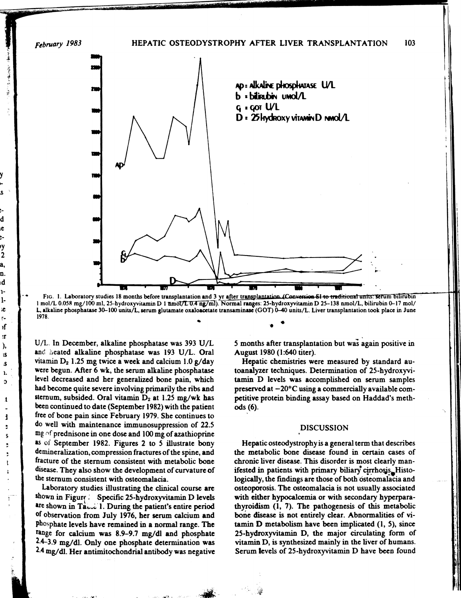# *February 1983* HEPATIC OSTEODYSTROPHY AFTER LIVER TRANSPLANTATION 103



Fig. 1. Laboratory studies 18 months before transplantation and 3 yr after transplantation. (Conversion SI to traditional units: serum bilirubin [1] mol/L 0.058 mg/100 ml, 25-hydroxyvitamin D 1 nmol/L 0.14 ng/ml). Normal r L, alkaline phosphatase 30–100 units/L, serum glutamate oxaloacetate transaminase (GOT) 0–40 units/L. Liver transplantation took place in June<br>1978. 1978.  $\bullet$ • •

U/L. In December, alkaline phosphatase was 393 U/L and heated alkaline phosphatase was 193 U/L. Oral vitamin  $D_2$  1.25 mg twice a week and calcium 1.0 g/day were begun. After 6 wk, the serum alkaline phosphatase level decreased and her generalized bone pain, which had become quite severe involving primarily the ribs and sternum, subsided. Oral vitamin  $D_2$  at 1.25 mg/wk has been continued to date (September 1982) with the patient free of bone pain since February 1979. She continues to do well with maintenance immunosuppression of 22.5 mg of prednisone in one dose and 100 mg of azathioprine as of September 1982. Figures 2 to 5 illustrate bony demineralization, compression fractures of the spine, and fracture of the sternum consistent with metabolic bone disease. They also show the development of curvature of the sternum consistent with osteomalacia.

y

S

ĝ

d le

ļ, y<br>2

ķ

a, n. ld 1- 1 iC r- )f :r ), IS :S **1.**  $\mathfrak{d}$ 

t

1 ś S è

> Laboratory studies illustrating the clinical course are shown in Figure: Specific 25-hydroxyvitamin D levels are shown in Tau... 1. During the patient's entire period of observation from 1uly 1976, her serum calcium and phosphate levels have remained in a normal range. The range for calcium was 8.9-9.7 mg/dl and phosphate 2.4-3.9 mg/dl. Only one phosphate determination was 2.4 mg/dl. Her antimitochondrial antibody was negative

5 months after transplantation but was again positive in August 1980 (1:640 titer).

Hepatic chemistries were measured by standard autoanalyzer techniques. Determination of 25-hydroxyvitamin D levels was accomplished on serum samples preserved at  $-20^{\circ}$ C using a commercially available competitive protein binding assay based on Haddad's methods (6).

## DISCUSSION

Hepatic osteodystrophy is a general term that describes the metabolic bone disease found in certain cases of chronic liver disease. This disorder is most clearly manifested in patients with primary biliary cirrhosis. Histologically, the fmdings are those of both osteomalacia and osteoporosis. The osteomalacia is not usually associated with either hypocalcemia or with secondary hyperparathyroidism (1, 7). The pathogenesis of this metabolic bone disease is not entirely clear. Abnormalities of vitamin D metabolism have been implicated (1, 5), since 25-hydroxyvitamin D, the major circulating form of vitamin D, is synthesized mainly in the liver of humans. Serum levels of 25-hydroxyvitamin D have been found

'.,:.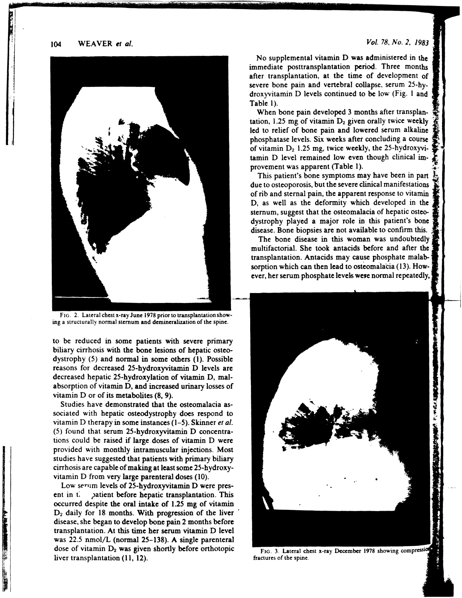*Vol.* 78. *No.2. 1983* 

104 WEA VER *et al.* 



FIG. 2. Lateral chest x-ray June 1978 prior to transplantation showing a structurally normal sternum and demineralization of the spine.

to be reduced in some patients with severe primary biliary cirrhosis with the bone lesions of hepatic osteodystrophy (5) and normal in some others (I). Possible reasons for decreased 25-hydroxyvitamin D levels are decreased hepatic 25-hydroxylation of vitamin D, malabsorption of vitamin D, and increased urinary losses of vitamin D or of its metabolites (8, 9).

Studies have demonstrated that the osteomalacia associated with hepatic osteodystrophy does respond to vitamin D therapy in some instances (1-5). Skinner *et al.* (5) found that serum 25-hydroxyvitamin D concentrations could be raised if large doses of vitamin D were provided with monthly intramuscular injections. Most studies have suggested that patients with primary biliary cirrhosis are capable of making at least some 25-hydroxyvitamin D from very large parenteral doses (10).

Low serum levels of 25-hydroxyvitamin D were present in t. patient before hepatic transplantation. This occurred despite the oral intake of 1.25 mg of vitamin  $D<sub>2</sub>$  daily for 18 months. With progression of the liver disease, she began to develop bone pain 2 months before transplantation. At this time her serum vitamin D level was 22.5 nmol/L (normal 25-138). A single parenteral dose of vitamin  $D_2$  was given shortly before orthotopic liver transplantation (11, 12).

The state of the state of the state of the state of the state of the state of the state of the state of

No supplemental vitamin D was administered in the immediate posttransplantation period. Three months after transplantation. at the time of development of severe bone pain and vertebral collapse. serum 25-hydroxyvitamin D levels continued to be low (Fig. 1 and Table I).

When bone pain developed 3 months after transplantation, 1.25 mg of vitamin  $D_2$  given orally twice weekly led to relief of bone pain and lowered serum alkaline phosphatase levels. Six weeks after concluding a course of vitamin  $D_2$  1.25 mg, twice weekly, the 25-hydroxyvitamin D level remained low even though clinical improvement was apparent (Table 1).

This patient's bone symptoms may have been in part due to osteoporosis, but the severe clinical manifestations of rib and sternal pain, the apparent response to vitamin D, as well as the deformity which developed in the sternum, suggest that the osteomalacia of hepatic osteodystrophy played a major role in this patient's bone disease. Bone biopsies are not available to confirm this.

The bone disease in this woman was undoubtedly multifactorial. She took antacids before and after the transplantation. Antacids may cause phosphate malabsorption which can then lead to osteomalacia (13). However, her serum phosphate levels were normal repeatedly,



FIG. 3. Lateral chest x-ray December 1978 showing compression. fractures of the spine.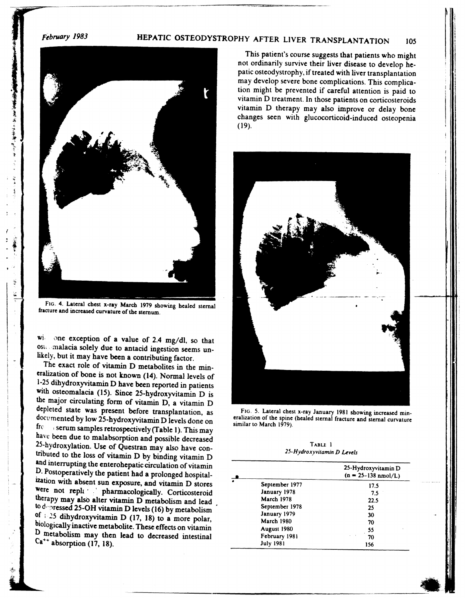**実の気味にする味です。** 

Ã ୁ



FIG. 4. Lateral chest x-ray March 1979 showing healed stemal fracture and increased curvature of the stemum.

wi, one exception of a value of 2.4 mg/dl, so that oste malacia solely due to antacid ingestion seems unlikely, but it may have been a contributing factor.

The exact role of vitamin D metabolites in the mineralization of bone is not known (14). Normal levels of 1-25 dibydroxyvitamin D have been reported in patients with osteomalacia (15). Since 25-hydroxyvitamin D is the major circulating form of vitamin D, a vitamin D depleted state was present before transplantation, as documented by low 25-hydroxyvitamin D levels done on<br>free serum samples retrospectively (Table 1). This mount  $\frac{1}{\sqrt{5}}$  serum samples retrospectively (Table 1). This may have been due to malabsorption and possible decreased 25-hydroxylation. Use of Questran may also have contributed to the loss of vitamin D by binding vitamin D and interrupting the enterohepatic circulation of vitamin D. Postoperatively the patient had a prolonged hospitalization with absent sun exposure, and vitamin D stores Were not reph' .' pharmacologically. Corticosteroid therapy may also alter vitamin  $\tilde{D}$  metabolism and lead to depressed 25-OH vitamin D levels (16) by metabolism  $^{6}$   $^{125}$  dihydroxyvitamin D (17, 18) to a more polar, biologically inactive metabolite. These effects on vitamin D metabolism may then lead to decreased intestinal  $Ca^{++}$  absorption (17, 18).

This patient's course suggests that patients who might not ordinarily survive their liver disease to develop hepatic osteodystrophy, if treated with liver transplantation may develop severe bone complications. This complication might be prevented if careful attention is paid to vitamin D treatment. In those patients on corticosteroids vitamin D therapy may also improve or delay bone changes seen with glucocorticoid-induced osteopenia (19).



FIG, 5. Lateral chest x-ray January 1981 showing increased mineralization of the spine (healed stemal fracture and stemal curvature similar to March 1979).

TABLE 1 25-Hydroxyvitamin D Levels

|  |                  | 25-Hydroxyvitamin D<br>$(n = 25 - 138 \text{ nmol/L})$ |
|--|------------------|--------------------------------------------------------|
|  | September 1977   | 17.5                                                   |
|  | January 1978     | 7.5                                                    |
|  | March 1978       | 22.5                                                   |
|  | September 1978   | 25                                                     |
|  | January 1979     | 30                                                     |
|  | March 1980       | 70                                                     |
|  | August 1980      | 55                                                     |
|  | February 1981    | 70                                                     |
|  | <b>July 1981</b> | 156                                                    |

 $\begin{array}{|c|c|c|c|c|}\hline \textbf{...} & \textbf{...} \end{array}$